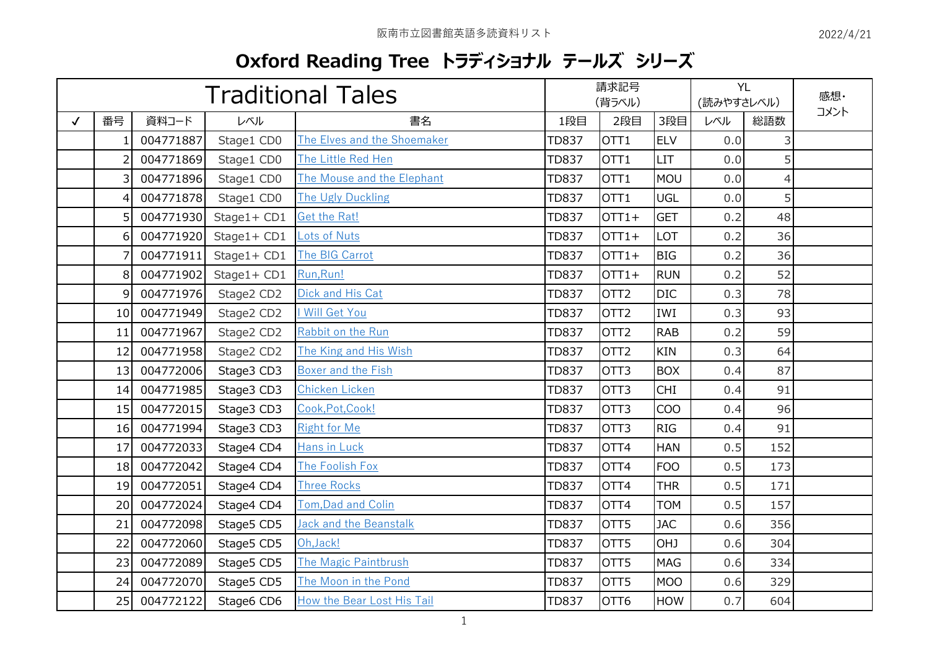## **Oxford Reading Tree トラディショナル テールズ シリーズ**

| <b>Traditional Tales</b> |    |           |             |                             |              | 請求記号<br>(背ラベル)   |            |     | <b>YL</b><br>(読みやすさレベル) | 感想·  |
|--------------------------|----|-----------|-------------|-----------------------------|--------------|------------------|------------|-----|-------------------------|------|
| $\checkmark$             | 番号 | 資料コード     | レベル         | 書名                          | 1段目          | 2段目              | 3段目        | レベル | 総語数                     | コメント |
|                          |    | 004771887 | Stage1 CD0  | The Elves and the Shoemaker | <b>TD837</b> | OTT <sub>1</sub> | <b>ELV</b> | 0.0 |                         |      |
|                          |    | 004771869 | Stage1 CD0  | The Little Red Hen          | <b>TD837</b> | OTT1             | <b>LIT</b> | 0.0 | 5                       |      |
|                          |    | 004771896 | Stage1 CD0  | The Mouse and the Elephant  | <b>TD837</b> | OTT1             | <b>MOU</b> | 0.0 | 4                       |      |
|                          |    | 004771878 | Stage1 CD0  | The Ugly Duckling           | <b>TD837</b> | OTT1             | <b>UGL</b> | 0.0 | 5 <sup>1</sup>          |      |
|                          |    | 004771930 | Stage1+ CD1 | <b>Get the Rat!</b>         | <b>TD837</b> | $OTT1+$          | <b>GET</b> | 0.2 | 48                      |      |
|                          | 6  | 004771920 | Stage1+ CD1 | Lots of Nuts                | <b>TD837</b> | $OTT1+$          | LOT        | 0.2 | 36                      |      |
|                          | 7  | 004771911 | Stage1+ CD1 | The BIG Carrot              | <b>TD837</b> | $OTT1+$          | <b>BIG</b> | 0.2 | 36                      |      |
|                          | 8  | 004771902 | Stage1+ CD1 | Run, Run!                   | <b>TD837</b> | $OTT1+$          | <b>RUN</b> | 0.2 | 52                      |      |
|                          | 9  | 004771976 | Stage2 CD2  | Dick and His Cat            | <b>TD837</b> | OTT <sub>2</sub> | <b>DIC</b> | 0.3 | 78                      |      |
|                          | 10 | 004771949 | Stage2 CD2  | I Will Get You              | <b>TD837</b> | OTT <sub>2</sub> | IWI        | 0.3 | 93                      |      |
|                          | 11 | 004771967 | Stage2 CD2  | Rabbit on the Run           | <b>TD837</b> | OTT <sub>2</sub> | <b>RAB</b> | 0.2 | 59                      |      |
|                          | 12 | 004771958 | Stage2 CD2  | The King and His Wish       | <b>TD837</b> | OTT <sub>2</sub> | <b>KIN</b> | 0.3 | 64                      |      |
|                          | 13 | 004772006 | Stage3 CD3  | <b>Boxer and the Fish</b>   | <b>TD837</b> | OTT <sub>3</sub> | <b>BOX</b> | 0.4 | 87                      |      |
|                          | 14 | 004771985 | Stage3 CD3  | Chicken Licken              | <b>TD837</b> | OTT <sub>3</sub> | <b>CHI</b> | 0.4 | 91                      |      |
|                          | 15 | 004772015 | Stage3 CD3  | Cook, Pot, Cook!            | <b>TD837</b> | OTT <sub>3</sub> | COO        | 0.4 | 96                      |      |
|                          | 16 | 004771994 | Stage3 CD3  | <b>Right for Me</b>         | <b>TD837</b> | OTT <sub>3</sub> | <b>RIG</b> | 0.4 | 91                      |      |
|                          | 17 | 004772033 | Stage4 CD4  | Hans in Luck                | <b>TD837</b> | OTT4             | <b>HAN</b> | 0.5 | 152                     |      |
|                          | 18 | 004772042 | Stage4 CD4  | The Foolish Fox             | <b>TD837</b> | OTT4             | <b>FOO</b> | 0.5 | 173                     |      |
|                          | 19 | 004772051 | Stage4 CD4  | <b>Three Rocks</b>          | <b>TD837</b> | OTT4             | <b>THR</b> | 0.5 | 171                     |      |
|                          | 20 | 004772024 | Stage4 CD4  | Tom, Dad and Colin          | <b>TD837</b> | OTT4             | <b>TOM</b> | 0.5 | 157                     |      |
|                          | 21 | 004772098 | Stage5 CD5  | Jack and the Beanstalk      | <b>TD837</b> | OTT5             | <b>JAC</b> | 0.6 | 356                     |      |
|                          | 22 | 004772060 | Stage5 CD5  | Oh, Jack!                   | <b>TD837</b> | OTT5             | <b>OHJ</b> | 0.6 | 304                     |      |
|                          | 23 | 004772089 | Stage5 CD5  | The Magic Paintbrush        | <b>TD837</b> | OTT5             | <b>MAG</b> | 0.6 | 334                     |      |
|                          | 24 | 004772070 | Stage5 CD5  | The Moon in the Pond        | <b>TD837</b> | OTT5             | <b>MOO</b> | 0.6 | 329                     |      |
|                          | 25 | 004772122 | Stage6 CD6  | How the Bear Lost His Tail  | <b>TD837</b> | OTT6             | <b>HOW</b> | 0.7 | 604                     |      |